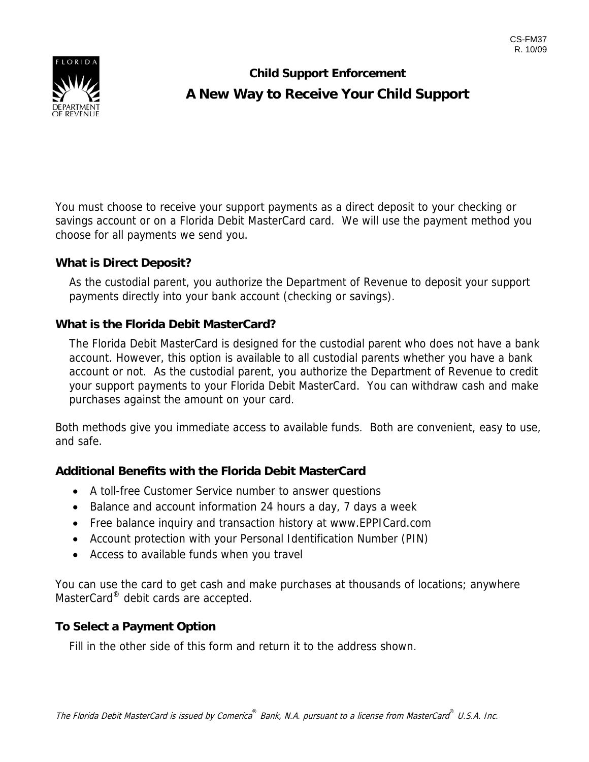

# **Child Support Enforcement A New Way to Receive Your Child Support**

You must choose to receive your support payments as a direct deposit to your checking or savings account or on a Florida Debit MasterCard card. We will use the payment method you choose for all payments we send you.

### **What is Direct Deposit?**

As the custodial parent, you authorize the Department of Revenue to deposit your support payments directly into your bank account (checking or savings).

#### **What is the Florida Debit MasterCard?**

The Florida Debit MasterCard is designed for the custodial parent who does not have a bank account. However, this option is available to all custodial parents whether you have a bank account or not. As the custodial parent, you authorize the Department of Revenue to credit your support payments to your Florida Debit MasterCard. You can withdraw cash and make purchases against the amount on your card.

Both methods give you immediate access to available funds. Both are convenient, easy to use, and safe.

### **Additional Benefits with the Florida Debit MasterCard**

- A toll-free Customer Service number to answer questions
- Balance and account information 24 hours a day, 7 days a week
- Free balance inquiry and transaction history at www.EPPICard.com
- Account protection with your Personal Identification Number (PIN)
- Access to available funds when you travel

You can use the card to get cash and make purchases at thousands of locations; anywhere MasterCard<sup>®</sup> debit cards are accepted.

### **To Select a Payment Option**

Fill in the other side of this form and return it to the address shown.